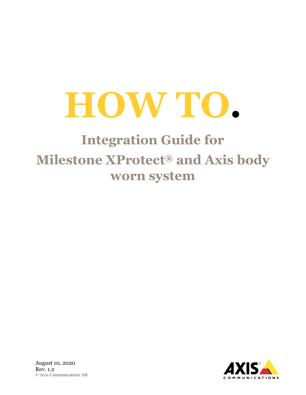# **HOW TO.**

# **Integration Guide for Milestone XProtect® and Axis body worn system**



August 10, 2020 Rev. 1.2 © Axis Communications AB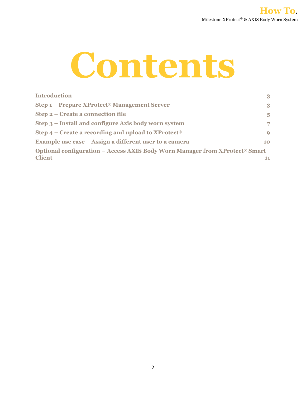

| <b>Introduction</b>                                                                     | 3              |
|-----------------------------------------------------------------------------------------|----------------|
| Step 1 – Prepare XProtect <sup>®</sup> Management Server                                | 3              |
| Step 2 – Create a connection file                                                       | $\overline{5}$ |
| Step 3 – Install and configure Axis body worn system                                    | 7              |
| Step $4$ – Create a recording and upload to XProtect <sup>®</sup>                       | $\mathbf Q$    |
| Example use case – Assign a different user to a camera                                  | 10             |
| Optional configuration – Access AXIS Body Worn Manager from XProtect <sup>®</sup> Smart |                |
| <b>Client</b>                                                                           | 11             |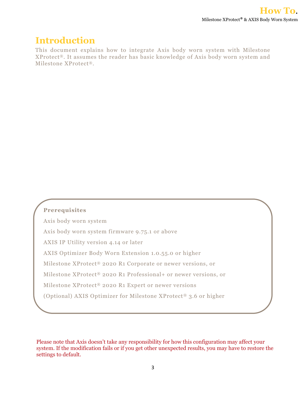## **Introduction**

This document explains how to integrate Axis body worn system with Milestone XProtect®. It assumes the reader has basic knowledge of Axis body worn system and Milestone XProtect®.

### **Prerequisites**

Axis body worn system Axis body worn system firmware 9.75.1 or above AXIS IP Utility version 4.14 or later AXIS Optimizer Body Worn Extension 1.0.55.0 or higher Milestone XProtect® 2020 R1 Corporate or newer versions, or Milestone XProtect® 2020 R1 Professional+ or newer versions, or Milestone XProtect® 2020 R1 Expert or newer versions (Optional) AXIS Optimizer for Milestone XProtect<sup>®</sup> 3.6 or higher

Please note that Axis doesn't take any responsibility for how this configuration may affect your system. If the modification fails or if you get other unexpected results, you may have to restore the settings to default.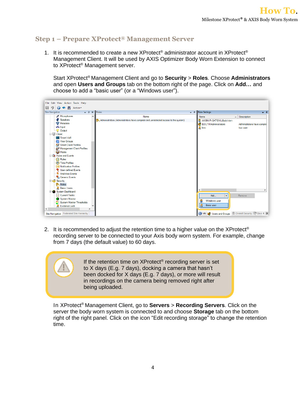#### **Step 1 – Prepare XProtect® Management Server**

1. It is recommended to create a new XProtect<sup>®</sup> administrator account in XProtect<sup>®</sup> Management Client. It will be used by AXIS Optimizer Body Worn Extension to connect to XProtect® Management server.

Start XProtect® Management Client and go to **Security** > **Roles**. Choose **Administrators** and open **Users and Groups** tab on the bottom right of the page. Click on **Add…** and choose to add a "basic user" (or a "Windows user").



2. It is recommended to adjust the retention time to a higher value on the XProtect<sup>®</sup> recording server to be connected to your Axis body worn system. For example, change from 7 days (the default value) to 60 days.

If the retention time on XProtect<sup>®</sup> recording server is set to X days (E.g. 7 days), docking a camera that hasn't been docked for X days (E.g. 7 days), or more will result in recordings on the camera being removed right after being uploaded.

In XProtect® Management Client, go to **Servers** > **Recording Servers**. Click on the server the body worn system is connected to and choose **Storage** tab on the bottom right of the right panel. Click on the icon "Edit recording storage" to change the retention time.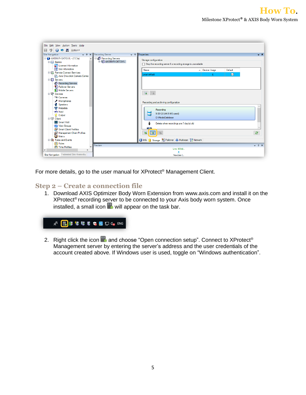| File Edit View Action Tools Help                                                                                                                                                                                                                                                                                                                                                                                                                                                                                                             |                                                                                                                                                                                                                                                                                                                                                                                                                                                                                                                |                  |
|----------------------------------------------------------------------------------------------------------------------------------------------------------------------------------------------------------------------------------------------------------------------------------------------------------------------------------------------------------------------------------------------------------------------------------------------------------------------------------------------------------------------------------------------|----------------------------------------------------------------------------------------------------------------------------------------------------------------------------------------------------------------------------------------------------------------------------------------------------------------------------------------------------------------------------------------------------------------------------------------------------------------------------------------------------------------|------------------|
| り<br><b>●● 晶</b> Action<br>局                                                                                                                                                                                                                                                                                                                                                                                                                                                                                                                 |                                                                                                                                                                                                                                                                                                                                                                                                                                                                                                                |                  |
| <b>Site Navigation</b><br>$-4$ $\times$                                                                                                                                                                                                                                                                                                                                                                                                                                                                                                      | Recording Server<br>Properties<br>$-1$                                                                                                                                                                                                                                                                                                                                                                                                                                                                         | $-1$             |
| E-C AXISNVR-GKTGVIL - (13.3a)<br>$\land$<br><b>E Ell</b> Basics<br>License Information<br><b>ii</b> Site Information<br>Remote Connect Services<br>Axis One-click Camera Conne<br><b>E-</b> Servers<br>Recording Servers<br>Failover Servers<br>Mobile Servers<br><b>E-SO Devices</b><br><b>Cameras</b><br>Microphones<br><b>Speakers</b><br>Metadata<br>do Input<br><b>O</b> Output<br><b>D</b> Client<br>Smart Wall<br>View Groups<br>Smart Client Profiles<br>Management Client Profiles<br><b>C</b> Matrix<br><b>Ex</b> Rules and Events | <b>□ 日</b> Recording Servers<br>Storage configuration<br><b>BUT AXISNVR-GKTGVIL</b><br>Stop the recording server if a recording storage is unavailable<br>Name<br>▲ Device Usage<br>Default<br>Local default<br>$\triangleright$<br>$\overline{a}$<br>$\frac{1}{2}$<br>Recording and archiving configuration<br>Recording<br>9.00 GB (44.5 MB used)<br><b>D:\MediaDatabase</b><br>Delete when recordings are 7 day(s) old<br>$ \nabla $<br>$\overline{u}$<br>ъ.<br>Info Storage E Failover + Multicast Network | $\boldsymbol{z}$ |
| <b>Rules</b><br>Time Profiles<br>$\checkmark$                                                                                                                                                                                                                                                                                                                                                                                                                                                                                                | Preview                                                                                                                                                                                                                                                                                                                                                                                                                                                                                                        | $- 1 x$          |
| $\checkmark$<br>$\rightarrow$                                                                                                                                                                                                                                                                                                                                                                                                                                                                                                                | Live: 900x9                                                                                                                                                                                                                                                                                                                                                                                                                                                                                                    |                  |
| Site Navigation Federated Site Hierarchy                                                                                                                                                                                                                                                                                                                                                                                                                                                                                                     | ۰<br>NewUser (                                                                                                                                                                                                                                                                                                                                                                                                                                                                                                 |                  |

For more details, go to the user manual for XProtect<sup>®</sup> Management Client.

#### **Step 2 – Create a connection file**

1. Download AXIS Optimizer Body Worn Extension from [www.axis.com](http://www.axis.com/) and install it on the XProtect<sup>®</sup> recording server to be connected to your Axis body worn system. Once installed, a small icon  $\blacksquare$  will appear on the task bar.



2. Right click the icon **and choose "Open connection setup". Connect to XProtect**<sup>®</sup> Management server by entering the server's address and the user credentials of the account created above. If Windows user is used, toggle on "Windows authentication".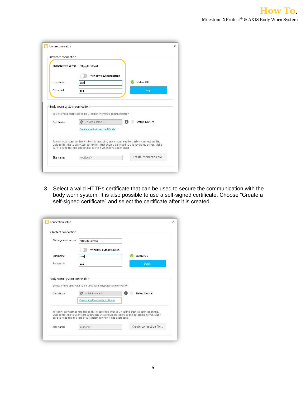| Management server:          | http://localhost                                                                                                                                                                                                                                                        |                 |
|-----------------------------|-------------------------------------------------------------------------------------------------------------------------------------------------------------------------------------------------------------------------------------------------------------------------|-----------------|
|                             | Windows authentication                                                                                                                                                                                                                                                  |                 |
| Username:                   | bwd                                                                                                                                                                                                                                                                     | Status: OK      |
| Password:                   | $\bullet\bullet\bullet$                                                                                                                                                                                                                                                 | Login           |
| Body worn system connection | Select a valid certificate to be used for encrypted communication                                                                                                                                                                                                       |                 |
|                             | G<br>< click to select>                                                                                                                                                                                                                                                 | Status: Not set |
| Certificate:                | Create a self-signed certificate                                                                                                                                                                                                                                        |                 |
|                             | To connect system controllers to this recording server you need to create a connection file.<br>Upload this file to all system controllers that should be linked to this recording server. Make<br>sure to keep this file safe or just delete it when it has been used. |                 |

3. Select a valid HTTPs certificate that can be used to secure the communication with the body worn system. It is also possible to use a self-signed certificate. Choose "Create a self-signed certificate" and select the certificate after it is created.

| XProtect connection         |                                                                                                                                                                                                                                                                         |                      |
|-----------------------------|-------------------------------------------------------------------------------------------------------------------------------------------------------------------------------------------------------------------------------------------------------------------------|----------------------|
| Management server:          | http://localhost                                                                                                                                                                                                                                                        |                      |
|                             | Windows authentication                                                                                                                                                                                                                                                  |                      |
| Username:                   | bwd                                                                                                                                                                                                                                                                     | Status: OK           |
| Password:                   |                                                                                                                                                                                                                                                                         | Login                |
| Body worn system connection | Select a valid certificate to be used for encrypted communication                                                                                                                                                                                                       |                      |
| Certificate:                | <click select="" to=""><br/>Ø</click>                                                                                                                                                                                                                                   | A<br>Status: Not set |
|                             | Create a self-signed certificate                                                                                                                                                                                                                                        |                      |
|                             | To connect system controllers to this recording server you need to create a connection file.<br>Upload this file to all system controllers that should be linked to this recording server. Make<br>sure to keep this file safe or just delete it when it has been used. |                      |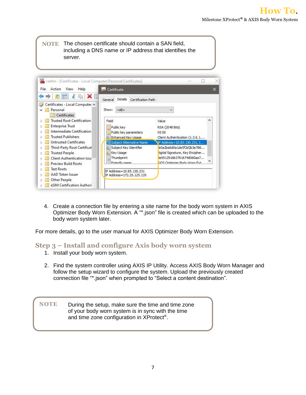**NOTE** The chosen certificate should contain a SAN field, including a DNS name or IP address that identifies the server.

| File<br>Action<br>View<br>Help                                                                                                                    | Certificate                                                                                         |                                                                                                                                                               |  |
|---------------------------------------------------------------------------------------------------------------------------------------------------|-----------------------------------------------------------------------------------------------------|---------------------------------------------------------------------------------------------------------------------------------------------------------------|--|
| XE                                                                                                                                                | Details<br>Certification Path<br>General                                                            |                                                                                                                                                               |  |
| Certificates - Local Computer A<br>Personal<br>Certificates                                                                                       | Show:<br>$<$ All $>$                                                                                | $\checkmark$                                                                                                                                                  |  |
| <b>Trusted Root Certification</b><br><b>Enterprise Trust</b><br>Intermediate Certification<br><b>Trusted Publishers</b>                           | Field<br>Public key<br>Public key parameters<br><b>Enhanced Key Usage</b>                           | Value<br>RSA (2048 Bits)<br>0500<br>Client Authentication (1.3.6.1                                                                                            |  |
| Untrusted Certificates<br>Third-Party Root Certifical<br><b>Trusted People</b><br><b>Client Authentication Issu</b><br><b>Preview Build Roots</b> | Subject Alternative Name<br>Subject Key Identifier<br>Key Usage<br>Thumbprint<br>眉<br>Friendly name | IP Address=10.85.130.231, I<br>e0a2ba6d0a1de5f2d2b3e786<br>)igital Signature, Key Encipher<br>le9512916b3761674d060aa7<br><b>IXTS Ontimizer Body Worn Ext</b> |  |
| <b>Test Roots</b><br>AAD Token Issuer<br>Other People                                                                                             | IP Address=10.85.130.231<br>IP Address=172.25.125.135                                               |                                                                                                                                                               |  |

4. Create a connection file by entering a site name for the body worn system in AXIS Optimizer Body Worn Extension. A "\*.json" file is created which can be uploaded to the body worn system later.

For more details, go to the user manual for AXIS Optimizer Body Worn Extension.

#### **Step 3 – Install and configure Axis body worn system**

- 1. Install your body worn system.
- 2. Find the system controller using AXIS IP Utility. Access AXIS Body Worn Manager and follow the setup wizard to configure the system. Upload the previously created connection file "\*.json" when prompted to "Select a content destination".

**NOTE** During the setup, make sure the time and time zone of your body worn system is in sync with the time and time zone configuration in XProtect®.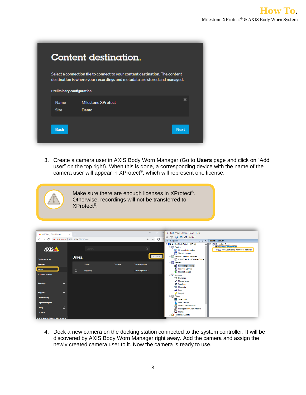|                                  | <b>Content destination.</b>                                                                                                                               |             |  |  |  |  |
|----------------------------------|-----------------------------------------------------------------------------------------------------------------------------------------------------------|-------------|--|--|--|--|
| <b>Preliminary configuration</b> | Select a connection file to connect to your content destination. The content<br>destination is where your recordings and metadata are stored and managed. |             |  |  |  |  |
|                                  |                                                                                                                                                           |             |  |  |  |  |
| <b>Name</b>                      | <b>Milestone XProtect</b>                                                                                                                                 | ×           |  |  |  |  |
| <b>Site</b>                      | Demo                                                                                                                                                      |             |  |  |  |  |
|                                  |                                                                                                                                                           |             |  |  |  |  |
| <b>Back</b>                      |                                                                                                                                                           | <b>Next</b> |  |  |  |  |
|                                  |                                                                                                                                                           |             |  |  |  |  |

3. Create a camera user in AXIS Body Worn Manager (Go to **Users** page and click on "Add user" on the top right). When this is done, a corresponding device with the name of the camera user will appear in XProtect®, which will represent one license.



Make sure there are enough licenses in XProtect<sup>®</sup>. Otherwise, recordings will not be transferred to XProtect® .



4. Dock a new camera on the docking station connected to the system controller. It will be discovered by AXIS Body Worn Manager right away. Add the camera and assign the newly created camera user to it. Now the camera is ready to use.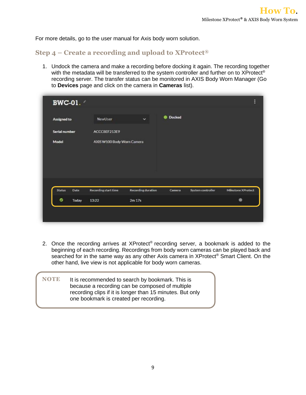For more details, go to the user manual for Axis body worn solution.

#### **Step 4 – Create a recording and upload to XProtect®**

1. Undock the camera and make a recording before docking it again. The recording together with the metadata will be transferred to the system controller and further on to XProtect® recording server. The transfer status can be monitored in AXIS Body Worn Manager (Go to **Devices** page and click on the camera in **Cameras** list).

|                      |       |                             | Ÿ                         | <b>Docked</b> |                   |                    |
|----------------------|-------|-----------------------------|---------------------------|---------------|-------------------|--------------------|
| <b>Assigned to</b>   |       | NewUser                     |                           |               |                   |                    |
| <b>Serial number</b> |       | ACCC8EF213E9                |                           |               |                   |                    |
| Model                |       | AXIS W100 Body Worn Camera  |                           |               |                   |                    |
|                      |       |                             |                           |               |                   |                    |
|                      |       |                             |                           |               |                   |                    |
|                      |       |                             |                           |               |                   |                    |
|                      |       |                             |                           |               |                   |                    |
|                      |       |                             |                           |               |                   |                    |
|                      |       |                             |                           |               |                   |                    |
| <b>Status</b>        | Date  | <b>Recording start time</b> | <b>Recording duration</b> | Camera        | System controller | Milestone XProtect |
| ۰                    | Today | 13:22                       | 2m 17s                    |               |                   |                    |

- 2. Once the recording arrives at XProtect<sup>®</sup> recording server, a bookmark is added to the beginning of each recording. Recordings from body worn cameras can be played back and searched for in the same way as any other Axis camera in XProtect<sup>®</sup> Smart Client. On the other hand, live view is not applicable for body worn cameras.
- **NOTE** It is recommended to search by bookmark. This is because a recording can be composed of multiple recording clips if it is longer than 15 minutes. But only one bookmark is created per recording.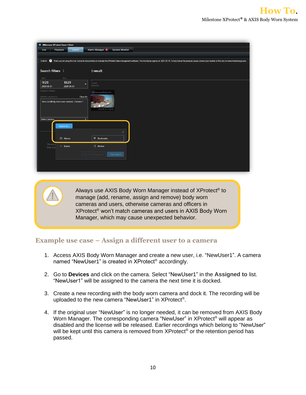| <b>Milestone XProtect Smart Client</b><br>٠                          |                                                                                                                                                                                                                                |
|----------------------------------------------------------------------|--------------------------------------------------------------------------------------------------------------------------------------------------------------------------------------------------------------------------------|
| Alarm Manager<br>Playback<br>Search<br><b>System Monitor</b><br>Live |                                                                                                                                                                                                                                |
|                                                                      |                                                                                                                                                                                                                                |
| 13:26:50                                                             | 1 Thank you for using this trial license to demonstrate or evaluate the XProtect video management software. The trial license expires on 2021-01-14. To fully license the product, please contact your reseller or find one on |
|                                                                      |                                                                                                                                                                                                                                |
| Search filters :<br>1 result                                         |                                                                                                                                                                                                                                |
| End<br>Start                                                         |                                                                                                                                                                                                                                |
| 11:29<br>13:29<br>11:29:00<br>۰                                      |                                                                                                                                                                                                                                |
| 2020-06-01<br>2020-06-01<br>2020-06-01                               |                                                                                                                                                                                                                                |
| Duration: 2 hours<br>New User(Body wor                               |                                                                                                                                                                                                                                |
| Selected cameras (1)<br><b>Clear list</b>                            |                                                                                                                                                                                                                                |
| New User (Body worn user camera) - Camera 1                          |                                                                                                                                                                                                                                |
| 2020-06-01 13:22:00                                                  |                                                                                                                                                                                                                                |
|                                                                      |                                                                                                                                                                                                                                |
| Select camera<br>τ.                                                  |                                                                                                                                                                                                                                |
| Search for                                                           |                                                                                                                                                                                                                                |
| $\times$                                                             |                                                                                                                                                                                                                                |
|                                                                      |                                                                                                                                                                                                                                |
| <b><i>C</i></b> Alarms<br><b>同</b> Bookmarks                         |                                                                                                                                                                                                                                |
| Showing<br><b>K</b> Motion<br>$4$ Events<br>that ma                  |                                                                                                                                                                                                                                |
|                                                                      |                                                                                                                                                                                                                                |
| Add to existing search<br>New search                                 |                                                                                                                                                                                                                                |
|                                                                      |                                                                                                                                                                                                                                |
|                                                                      |                                                                                                                                                                                                                                |
|                                                                      |                                                                                                                                                                                                                                |

Always use AXIS Body Worn Manager instead of XProtect<sup>®</sup> to manage (add, rename, assign and remove) body worn cameras and users, otherwise cameras and officers in XProtect® won't match cameras and users in AXIS Body Worn Manager, which may cause unexpected behavior.

#### **Example use case – Assign a different user to a camera**

- 1. Access AXIS Body Worn Manager and create a new user, i.e. "NewUser1". A camera named "NewUser1" is created in XProtect® accordingly.
- 2. Go to **Devices** and click on the camera. Select "NewUser1" in the **Assigned to** list. "NewUser1" will be assigned to the camera the next time it is docked.
- 3. Create a new recording with the body worn camera and dock it. The recording will be uploaded to the new camera "NewUser1" in XProtect® .
- 4. If the original user "NewUser" is no longer needed, it can be removed from AXIS Body Worn Manager. The corresponding camera "NewUser" in XProtect<sup>®</sup> will appear as disabled and the license will be released. Earlier recordings which belong to "NewUser" will be kept until this camera is removed from XProtect<sup>®</sup> or the retention period has passed.